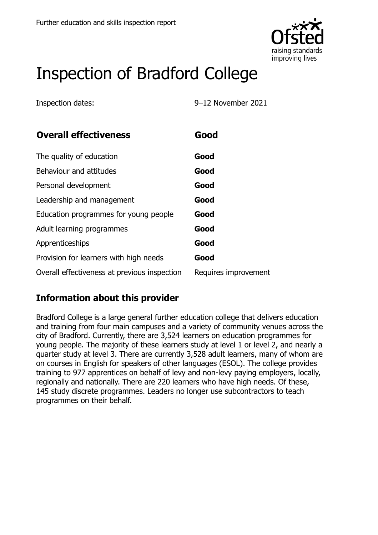

# Inspection of Bradford College

Inspection dates: 9–12 November 2021

| <b>Overall effectiveness</b>                 | Good                 |
|----------------------------------------------|----------------------|
| The quality of education                     | Good                 |
| Behaviour and attitudes                      | Good                 |
| Personal development                         | Good                 |
| Leadership and management                    | Good                 |
| Education programmes for young people        | Good                 |
| Adult learning programmes                    | Good                 |
| Apprenticeships                              | Good                 |
| Provision for learners with high needs       | Good                 |
| Overall effectiveness at previous inspection | Requires improvement |

#### **Information about this provider**

Bradford College is a large general further education college that delivers education and training from four main campuses and a variety of community venues across the city of Bradford. Currently, there are 3,524 learners on education programmes for young people. The majority of these learners study at level 1 or level 2, and nearly a quarter study at level 3. There are currently 3,528 adult learners, many of whom are on courses in English for speakers of other languages (ESOL). The college provides training to 977 apprentices on behalf of levy and non-levy paying employers, locally, regionally and nationally. There are 220 learners who have high needs. Of these, 145 study discrete programmes. Leaders no longer use subcontractors to teach programmes on their behalf.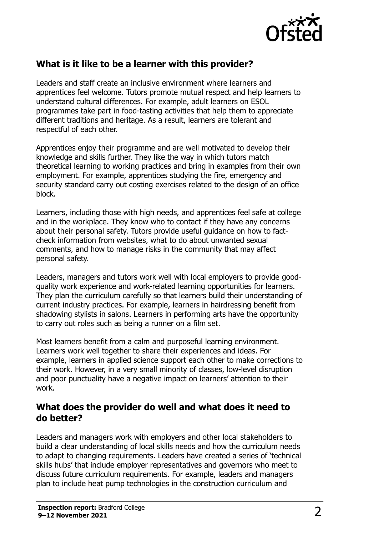

## **What is it like to be a learner with this provider?**

Leaders and staff create an inclusive environment where learners and apprentices feel welcome. Tutors promote mutual respect and help learners to understand cultural differences. For example, adult learners on ESOL programmes take part in food-tasting activities that help them to appreciate different traditions and heritage. As a result, learners are tolerant and respectful of each other.

Apprentices enjoy their programme and are well motivated to develop their knowledge and skills further. They like the way in which tutors match theoretical learning to working practices and bring in examples from their own employment. For example, apprentices studying the fire, emergency and security standard carry out costing exercises related to the design of an office block.

Learners, including those with high needs, and apprentices feel safe at college and in the workplace. They know who to contact if they have any concerns about their personal safety. Tutors provide useful guidance on how to factcheck information from websites, what to do about unwanted sexual comments, and how to manage risks in the community that may affect personal safety.

Leaders, managers and tutors work well with local employers to provide goodquality work experience and work-related learning opportunities for learners. They plan the curriculum carefully so that learners build their understanding of current industry practices. For example, learners in hairdressing benefit from shadowing stylists in salons. Learners in performing arts have the opportunity to carry out roles such as being a runner on a film set.

Most learners benefit from a calm and purposeful learning environment. Learners work well together to share their experiences and ideas. For example, learners in applied science support each other to make corrections to their work. However, in a very small minority of classes, low-level disruption and poor punctuality have a negative impact on learners' attention to their work.

#### **What does the provider do well and what does it need to do better?**

Leaders and managers work with employers and other local stakeholders to build a clear understanding of local skills needs and how the curriculum needs to adapt to changing requirements. Leaders have created a series of 'technical skills hubs' that include employer representatives and governors who meet to discuss future curriculum requirements. For example, leaders and managers plan to include heat pump technologies in the construction curriculum and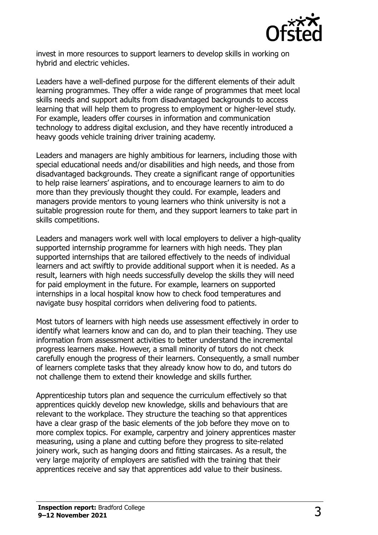

invest in more resources to support learners to develop skills in working on hybrid and electric vehicles.

Leaders have a well-defined purpose for the different elements of their adult learning programmes. They offer a wide range of programmes that meet local skills needs and support adults from disadvantaged backgrounds to access learning that will help them to progress to employment or higher-level study. For example, leaders offer courses in information and communication technology to address digital exclusion, and they have recently introduced a heavy goods vehicle training driver training academy.

Leaders and managers are highly ambitious for learners, including those with special educational needs and/or disabilities and high needs, and those from disadvantaged backgrounds. They create a significant range of opportunities to help raise learners' aspirations, and to encourage learners to aim to do more than they previously thought they could. For example, leaders and managers provide mentors to young learners who think university is not a suitable progression route for them, and they support learners to take part in skills competitions.

Leaders and managers work well with local employers to deliver a high-quality supported internship programme for learners with high needs. They plan supported internships that are tailored effectively to the needs of individual learners and act swiftly to provide additional support when it is needed. As a result, learners with high needs successfully develop the skills they will need for paid employment in the future. For example, learners on supported internships in a local hospital know how to check food temperatures and navigate busy hospital corridors when delivering food to patients.

Most tutors of learners with high needs use assessment effectively in order to identify what learners know and can do, and to plan their teaching. They use information from assessment activities to better understand the incremental progress learners make. However, a small minority of tutors do not check carefully enough the progress of their learners. Consequently, a small number of learners complete tasks that they already know how to do, and tutors do not challenge them to extend their knowledge and skills further.

Apprenticeship tutors plan and sequence the curriculum effectively so that apprentices quickly develop new knowledge, skills and behaviours that are relevant to the workplace. They structure the teaching so that apprentices have a clear grasp of the basic elements of the job before they move on to more complex topics. For example, carpentry and joinery apprentices master measuring, using a plane and cutting before they progress to site-related joinery work, such as hanging doors and fitting staircases. As a result, the very large majority of employers are satisfied with the training that their apprentices receive and say that apprentices add value to their business.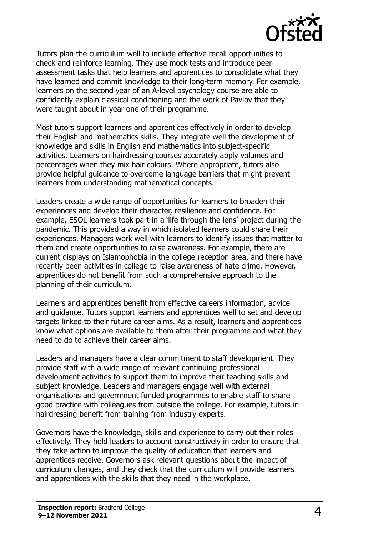

Tutors plan the curriculum well to include effective recall opportunities to check and reinforce learning. They use mock tests and introduce peerassessment tasks that help learners and apprentices to consolidate what they have learned and commit knowledge to their long-term memory. For example, learners on the second year of an A-level psychology course are able to confidently explain classical conditioning and the work of Pavlov that they were taught about in year one of their programme.

Most tutors support learners and apprentices effectively in order to develop their English and mathematics skills. They integrate well the development of knowledge and skills in English and mathematics into subject-specific activities. Learners on hairdressing courses accurately apply volumes and percentages when they mix hair colours. Where appropriate, tutors also provide helpful guidance to overcome language barriers that might prevent learners from understanding mathematical concepts.

Leaders create a wide range of opportunities for learners to broaden their experiences and develop their character, resilience and confidence. For example, ESOL learners took part in a 'life through the lens' project during the pandemic. This provided a way in which isolated learners could share their experiences. Managers work well with learners to identify issues that matter to them and create opportunities to raise awareness. For example, there are current displays on Islamophobia in the college reception area, and there have recently been activities in college to raise awareness of hate crime. However, apprentices do not benefit from such a comprehensive approach to the planning of their curriculum.

Learners and apprentices benefit from effective careers information, advice and guidance. Tutors support learners and apprentices well to set and develop targets linked to their future career aims. As a result, learners and apprentices know what options are available to them after their programme and what they need to do to achieve their career aims.

Leaders and managers have a clear commitment to staff development. They provide staff with a wide range of relevant continuing professional development activities to support them to improve their teaching skills and subject knowledge. Leaders and managers engage well with external organisations and government funded programmes to enable staff to share good practice with colleagues from outside the college. For example, tutors in hairdressing benefit from training from industry experts.

Governors have the knowledge, skills and experience to carry out their roles effectively. They hold leaders to account constructively in order to ensure that they take action to improve the quality of education that learners and apprentices receive. Governors ask relevant questions about the impact of curriculum changes, and they check that the curriculum will provide learners and apprentices with the skills that they need in the workplace.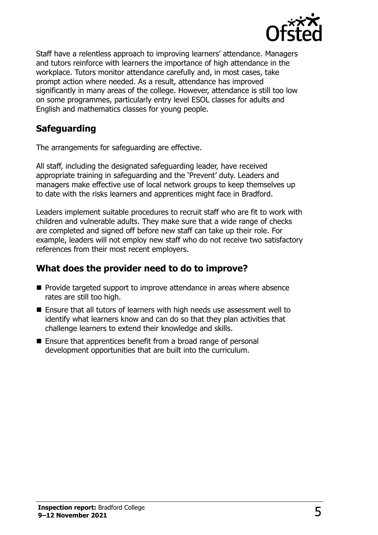

Staff have a relentless approach to improving learners' attendance. Managers and tutors reinforce with learners the importance of high attendance in the workplace. Tutors monitor attendance carefully and, in most cases, take prompt action where needed. As a result, attendance has improved significantly in many areas of the college. However, attendance is still too low on some programmes, particularly entry level ESOL classes for adults and English and mathematics classes for young people.

## **Safeguarding**

The arrangements for safeguarding are effective.

All staff, including the designated safeguarding leader, have received appropriate training in safeguarding and the 'Prevent' duty. Leaders and managers make effective use of local network groups to keep themselves up to date with the risks learners and apprentices might face in Bradford.

Leaders implement suitable procedures to recruit staff who are fit to work with children and vulnerable adults. They make sure that a wide range of checks are completed and signed off before new staff can take up their role. For example, leaders will not employ new staff who do not receive two satisfactory references from their most recent employers.

#### **What does the provider need to do to improve?**

- **Provide targeted support to improve attendance in areas where absence** rates are still too high.
- Ensure that all tutors of learners with high needs use assessment well to identify what learners know and can do so that they plan activities that challenge learners to extend their knowledge and skills.
- Ensure that apprentices benefit from a broad range of personal development opportunities that are built into the curriculum.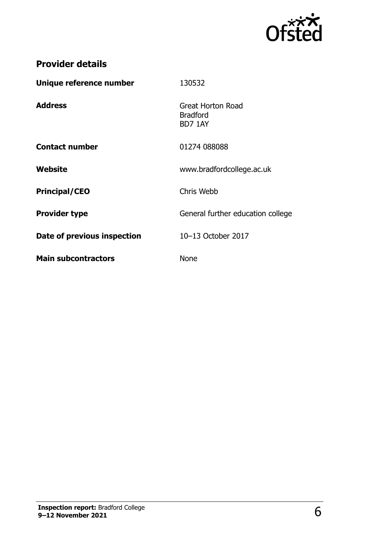

## **Provider details**

| Unique reference number     | 130532                                                 |
|-----------------------------|--------------------------------------------------------|
| <b>Address</b>              | <b>Great Horton Road</b><br><b>Bradford</b><br>BD7 1AY |
| <b>Contact number</b>       | 01274 088088                                           |
| Website                     | www.bradfordcollege.ac.uk                              |
| <b>Principal/CEO</b>        | Chris Webb                                             |
| <b>Provider type</b>        | General further education college                      |
| Date of previous inspection | 10-13 October 2017                                     |
| <b>Main subcontractors</b>  | <b>None</b>                                            |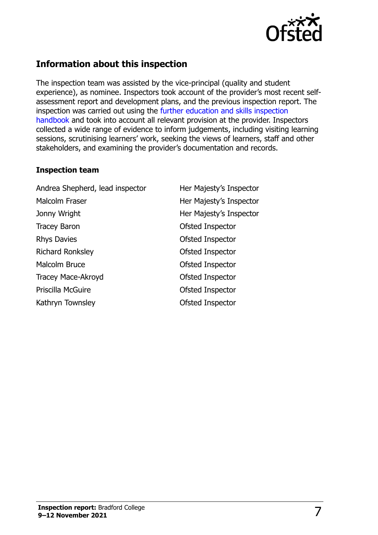

#### **Information about this inspection**

The inspection team was assisted by the vice-principal (quality and student experience), as nominee. Inspectors took account of the provider's most recent selfassessment report and development plans, and the previous inspection report. The inspection was carried out using the [further education and skills inspection](http://www.gov.uk/government/publications/further-education-and-skills-inspection-handbook-eif)  [handbook](http://www.gov.uk/government/publications/further-education-and-skills-inspection-handbook-eif) and took into account all relevant provision at the provider. Inspectors collected a wide range of evidence to inform judgements, including visiting learning sessions, scrutinising learners' work, seeking the views of learners, staff and other stakeholders, and examining the provider's documentation and records.

#### **Inspection team**

Andrea Shepherd, lead inspector Her Majesty's Inspector Malcolm Fraser **Her Majesty's Inspector** Jonny Wright **Her Majesty's Inspector** Tracey Baron **Calculation** Ofsted Inspector Rhys Davies **Calculation** Controller Controller Controller Controller Controller Controller Controller Controller Richard Ronksley **Contract Contract Contract Contract Contract Contract Contract Contract Contract Contract Contract Contract Contract Contract Contract Contract Contract Contract Contract Contract Contract Contract Contra** Malcolm Bruce **Ofsted Inspector** Tracey Mace-Akroyd **Canadia** Ofsted Inspector Priscilla McGuire **Calculate Contract Contract Contract Contract Contract Contract Contract Contract Contract Contract Contract Contract Contract Contract Contract Contract Contract Contract Contract Contract Contract Cont** Kathryn Townsley **Contact Contact Contact Contact Contact Contact Contact Contact Contact Contact Contact Contact Contact Contact Contact Contact Contact Contact Contact Contact Contact Contact Contact Contact Contact Cont**